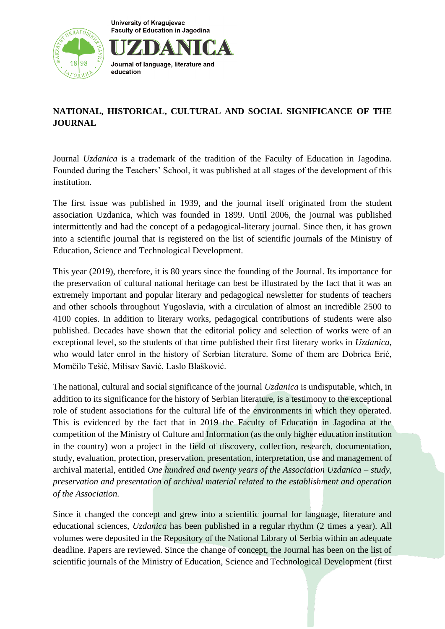**University of Kraguievac Faculty of Education in Jagodina** 



## Journal of language, literature and education

## **NATIONAL, HISTORICAL, CULTURAL AND SOCIAL SIGNIFICANCE OF THE JOURNAL**

Journal *Uzdanica* is a trademark of the tradition of the Faculty of Education in Jagodina. Founded during the Teachers' School, it was published at all stages of the development of this institution.

The first issue was published in 1939, and the journal itself originated from the student association Uzdanica, which was founded in 1899. Until 2006, the journal was published intermittently and had the concept of a pedagogical-literary journal. Since then, it has grown into a scientific journal that is registered on the list of scientific journals of the Ministry of Education, Science and Technological Development.

This year (2019), therefore, it is 80 years since the founding of the Journal. Its importance for the preservation of cultural national heritage can best be illustrated by the fact that it was an extremely important and popular literary and pedagogical newsletter for students of teachers and other schools throughout Yugoslavia, with a circulation of almost an incredible 2500 to 4100 copies. In addition to literary works, pedagogical contributions of students were also published. Decades have shown that the editorial policy and selection of works were of an exceptional level, so the students of that time published their first literary works in *Uzdanica*, who would later enrol in the history of Serbian literature. Some of them are Dobrica Erić, Momčilo Tešić, Milisav Savić, Laslo Blašković.

The national, cultural and social significance of the journal *Uzdanica* is undisputable, which, in addition to its significance for the history of Serbian literature, is a testimony to the exceptional role of student associations for the cultural life of the environments in which they operated. This is evidenced by the fact that in 2019 the Faculty of Education in Jagodina at the competition of the Ministry of Culture and Information (as the only higher education institution in the country) won a project in the field of discovery, collection, research, documentation, study, evaluation, protection, preservation, presentation, interpretation, use and management of archival material, entitled *One hundred and twenty years of the Association Uzdanica – study, preservation and presentation of archival material related to the establishment and operation of the Association.* 

Since it changed the concept and grew into a scientific journal for language, literature and educational sciences, *Uzdanica* has been published in a regular rhythm (2 times a year). All volumes were deposited in the Repository of the National Library of Serbia within an adequate deadline. Papers are reviewed. Since the change of concept, the Journal has been on the list of scientific journals of the Ministry of Education, Science and Technological Development (first